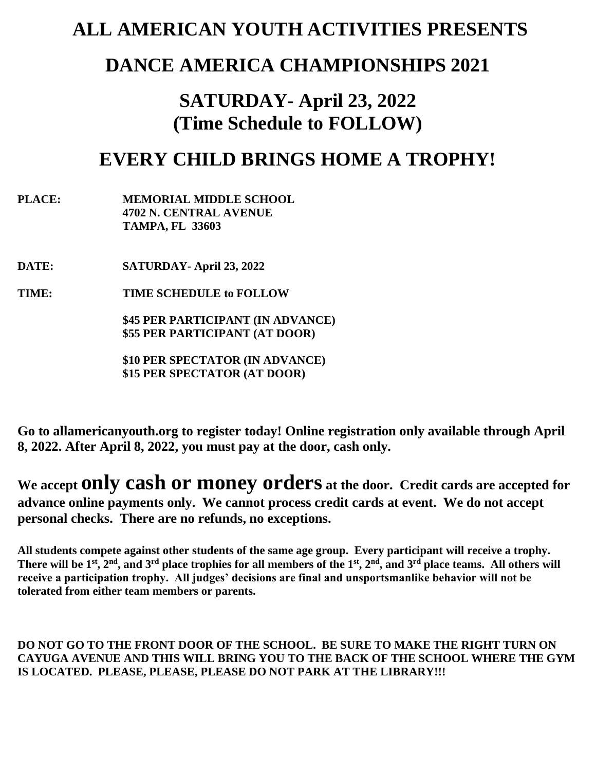## **ALL AMERICAN YOUTH ACTIVITIES PRESENTS**

#### **DANCE AMERICA CHAMPIONSHIPS 2021**

# **SATURDAY- April 23, 2022 (Time Schedule to FOLLOW)**

### **EVERY CHILD BRINGS HOME A TROPHY!**

- **PLACE: MEMORIAL MIDDLE SCHOOL 4702 N. CENTRAL AVENUE TAMPA, FL 33603**
- **DATE: SATURDAY- April 23, 2022**
- **TIME: TIME SCHEDULE to FOLLOW**

**\$45 PER PARTICIPANT (IN ADVANCE) \$55 PER PARTICIPANT (AT DOOR)** 

**\$10 PER SPECTATOR (IN ADVANCE) \$15 PER SPECTATOR (AT DOOR)**

**Go to allamericanyouth.org to register today! Online registration only available through April 8, 2022. After April 8, 2022, you must pay at the door, cash only.**

**We accept only cash or money orders at the door. Credit cards are accepted for advance online payments only. We cannot process credit cards at event. We do not accept personal checks. There are no refunds, no exceptions.**

**All students compete against other students of the same age group. Every participant will receive a trophy. There will be 1st, 2nd, and 3rd place trophies for all members of the 1 st, 2nd, and 3rd place teams. All others will receive a participation trophy. All judges' decisions are final and unsportsmanlike behavior will not be tolerated from either team members or parents.** 

**DO NOT GO TO THE FRONT DOOR OF THE SCHOOL. BE SURE TO MAKE THE RIGHT TURN ON CAYUGA AVENUE AND THIS WILL BRING YOU TO THE BACK OF THE SCHOOL WHERE THE GYM IS LOCATED. PLEASE, PLEASE, PLEASE DO NOT PARK AT THE LIBRARY!!!**